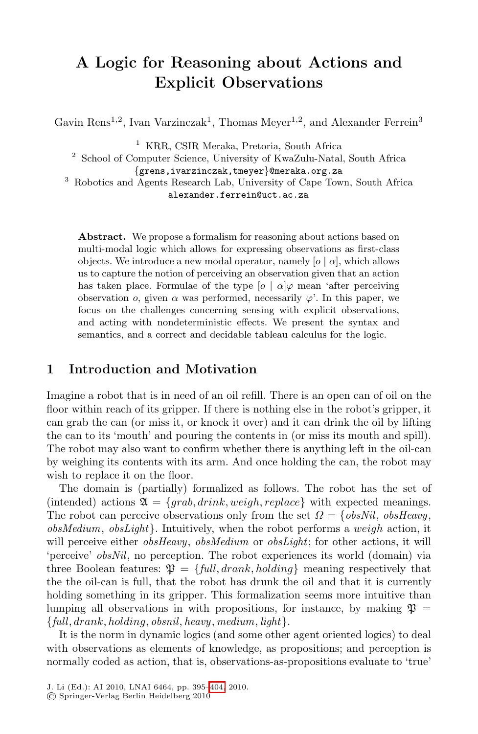# **A Logic for Reasoning about Actions and Explicit Observations**

Gavin Rens<sup>1,2</sup>, Ivan Varzinczak<sup>1</sup>, Thomas Meyer<sup>1,2</sup>, and Alexander Ferrein<sup>3</sup>

<sup>1</sup> KRR, CSIR Meraka, Pretoria, South Africa <sup>2</sup> School of Computer Science, University of KwaZulu-Natal, South Africa { $grens, ivarzinczak, tmeyer$ }@meraka.org.za <sup>3</sup> Robotics and Agents Research Lab, University of Cape Town, South Africa alexander.ferrein@uct.ac.za

**Abstract.** We propose a formalism for reasoning about actions based on multi-modal logic which allows for expressing observations as first-class objects. We introduce a new modal operator, namely  $[o \mid \alpha]$ , which allows us to capture the notion of perceiving an observation given that an action has taken place. Formulae of the type  $\lbrack o \rbrack \lbrack a \rbrack \varphi$  mean 'after perceiving observation *o*, given  $\alpha$  was performed, necessarily  $\varphi'$ . In this paper, we focus on the challenges concerning sensing with explicit observations, and acting with nondeterministic effects. We present the syntax and semantics, and a correct and decidable tableau calculus for the logic.

## **1 Introduction and Motivation**

Imagine a robot that is in need of an oil refill. There is an open can of oil on the floor within reach of its gripper. If there is nothing else in the robot's gripper, it can grab the can (or miss it, or knock it over) and it can drink the oil by lifting the can to its 'mouth' and pouring the contents in (or miss its mouth and spill). The robot may also want to confirm whether there is anything left in the oil-can by weighing its contents with its arm. And once holding the can, the robot may wish to replace it on the floor.

The domain is (partially) formalized as follows. The robot has the set of (intended) actions  $\mathfrak{A} = \{graph, drink, weigh, replace\}$  with expected meanings. The robot can perceive observations only from the set  $\Omega = \{obsNil, obsHeavy,$ *obsMedium*, *obsLight*}. Intuitively, when the robot performs a weigh action, it will perceive either *obsHeavy*, *obsMedium* or *obsLight*; for other actions, it will 'perceive' *obsNil*, no perception. The robot experiences its world (domain) via three Boolean features:  $\mathfrak{P} = \{full, drank, holding\}$  meaning respectively that the the oil-ca[n is](#page-9-0) full, that the robot has drunk the oil and that it is currently holding something in its gripper. This formalization seems more intuitive than lumping all observations in with propositions, for instance, by making  $\mathfrak{P} =$ {*full*, drank, holding, *obsnil*, *heavy*, *medium*, *light*}.

It is the norm in dynamic logics (and some other agent oriented logics) to deal with observations as elements of knowledge, as propositions; and perception is normally coded as action, that is, observations-as-propositions evaluate to 'true'

J. Li (Ed.): AI 2010, LNAI 6464, pp. 395–404, 2010.

Springer-Verlag Berlin Heidelberg 2010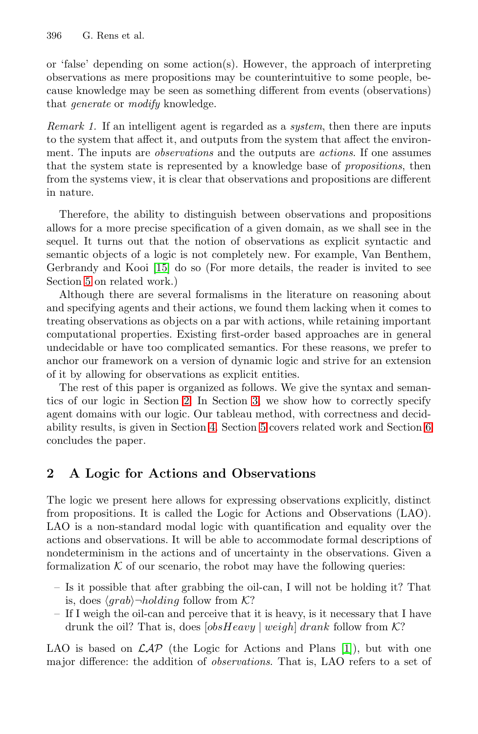or 'false' depending on some action(s). However, the approach of interpreting observations as mere propositions may be counterintuitive to some people, because knowledge may be seen as something different from events (observations) that *generate* or *modify* knowledge.

*Remark 1.* If an intelligent agent is regarded as a *system*, then there are inputs to the system that affect it, and outputs from the system that affect the environment. The inputs are *observations* and the outputs are *actions*. If one assumes tha[t th](#page-9-1)e system state is represented by a knowledge base of *propositions*, then from the systems view, it is clear that observations and propositions are different in nature.

Therefore, the ability to distinguish between observations and propositions allows for a more precise specification of a given domain, as we shall see in the sequel. It turns out that the notion of observations as explicit syntactic and semantic objects of a logic is not completely new. For example, Van Benthem, Gerbrandy and Kooi [15] do so (For more details, the reader is invited to see Section 5 on related work.)

Altho[ugh](#page-1-0) there are [se](#page-4-0)veral formalisms in the literature on reasoning about and specifying agents and their actions, we found them lacking when it comes to treating obser[vat](#page-6-0)ions as [ob](#page-7-0)jects on a par with actions, whil[e re](#page-8-0)taining important computational properties. Existing first-order based approaches are in general undecidable or have too complicated semantics. For these reasons, we prefer to anchor our framework on a version of dynamic logic and strive for an extension of it by allowing for observations as explicit entities.

<span id="page-1-0"></span>The rest of this paper is organized as follows. We give the syntax and semantics of our logic in Section 2. In Section 3, we show how to correctly specify agent domains with our logic. Our tableau method, with correctness and decidability results, is given in Section 4. Section 5 covers related work and Section 6 concludes the paper.

#### **2 A Logic for Actions and Observations**

The logic we present here allows for expressing observations explicitly, distinct from propositions. It is called the Logic for Actions and Observations (LAO). LAO is a non-standard modal logic with quantification and equality over the actions and observations. It will be able t[o a](#page-9-2)ccommodate formal descriptions of nondeterminism in the actions and of uncertainty in the observations. Given a formalization  $K$  of our scenario, the robot may have the following queries:

- Is it possible that after grabbing the oil-can, I will not be holding it? That is, does  $\langle \text{grad} \rangle \neg \text{holding}$  follow from K?
- If I weigh the oil-can and perceive that it is heavy, is it necessary that I have drunk the oil? That is, does  $[obsHeavy | weight]$  drank follow from K?

LAO is based on  $\mathcal{LAP}$  (the Logic for Actions and Plans [1]), but with one major difference: the addition of *observations*. That is, LAO refers to a set of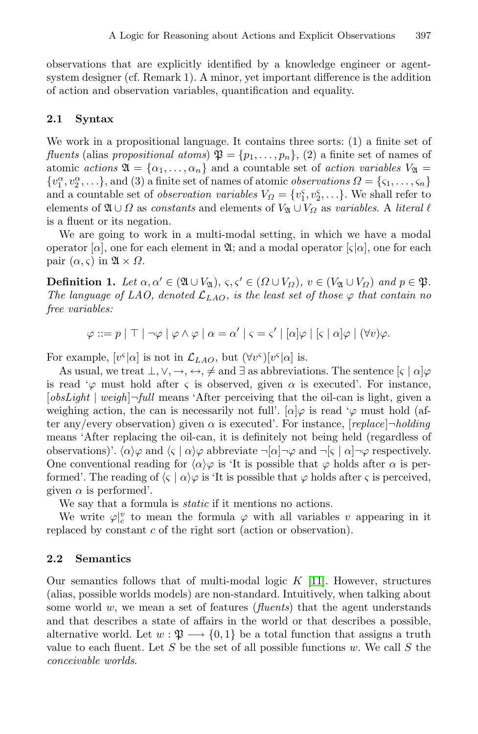observations that are explicitly identified by a knowledge engineer or agentsystem designer (cf. Remark 1). A minor, yet important difference is the addition of action and observation variables, quantification and equality.

#### **2.1 Syntax**

We work in a propositional language. It contains three sorts: (1) a finite set of *fluents* (alias *propositional atoms*)  $\mathfrak{P} = \{p_1, \ldots, p_n\}$ , (2) a finite set of names of atomic *actions*  $\mathfrak{A} = {\alpha_1, \ldots, \alpha_n}$  and a countable set of *action variables*  $V_{\mathfrak{A}} =$  $\{v_1^{\alpha}, v_2^{\alpha}, \ldots\}$ , and (3) a finite set of names of atomic *observations*  $\Omega = \{\varsigma_1, \ldots, \varsigma_n\}$ and a countable set of *observation variables*  $V_{\Omega} = \{v_1^{\varsigma}, v_2^{\varsigma}, \ldots\}$ . We shall refer to elements of  $\mathfrak{A} \cup \Omega$  as *constants* and elements of  $V_{\mathfrak{A}} \cup V_{\Omega}$  as *variables*. A *literal*  $\ell$ is a fluent or its negation.

We are going to work in a multi-modal setting, in which we have a modal operator  $[\alpha]$ , one for each element in  $\mathfrak{A}$ ; and a modal operator  $[\varsigma|\alpha]$ , one for each pair  $(\alpha, \varsigma)$  in  $\mathfrak{A} \times \Omega$ .

**Definition 1.** Let  $\alpha, \alpha' \in (\mathfrak{A} \cup V_{\mathfrak{A}}), \varsigma, \varsigma' \in (\Omega \cup V_{\Omega}), v \in (V_{\mathfrak{A}} \cup V_{\Omega})$  and  $p \in \mathfrak{P}$ . *The language of LAO, denoted*  $\mathcal{L}_{LAO}$ *, is the least set of those*  $\varphi$  *that contain no free variables:*

$$
\varphi ::= p | \top | \neg \varphi | \varphi \land \varphi | \alpha = \alpha' | \varsigma = \varsigma' | [\alpha] \varphi | [\varsigma | \alpha] \varphi | (\forall v) \varphi.
$$

For example,  $[v^{\varsigma}|\alpha]$  is not in  $\mathcal{L}_{LAO}$ , but  $(\forall v^{\varsigma})[v^{\varsigma}|\alpha]$  is.

As usual, we treat  $\bot, \vee, \rightarrow, \leftrightarrow, \neq$  and  $\exists$  as abbreviations. The sentence  $\lceil \varsigma \rceil \alpha \rceil \varphi$ is read ' $\varphi$  must hold after  $\varsigma$  is observed, given  $\alpha$  is executed'. For instance,  $[obsLight \mid weight]$  means 'After perceiving that the oil-can is light, given a weighing action, the can is necessarily not full'. [ $\alpha$ ] $\varphi$  is read ' $\varphi$  must hold (after any/every observation) given  $\alpha$  is executed'. For instance,  $[replace] \neg holding$ means 'After replacing the oil-can, it is definitely not being held (regardless of observations)'.  $\langle \alpha \rangle \varphi$  and  $\langle \varsigma | \alpha \rangle \varphi$  abbreviate  $\neg[\alpha] \neg \varphi$  and  $\neg[\varsigma | \alpha] \neg \varphi$  respectively. One conventional reading for  $\langle \alpha \rangle \varphi$  is 'It is possible that  $\varphi$  holds after  $\alpha$  is performed'. The reading of  $\langle \varsigma | \alpha \rangle \varphi$  is '[It is](#page-9-3) possible that  $\varphi$  holds after  $\varsigma$  is perceived, given  $\alpha$  is performed'.

We say that a formula is *static* if it mentions no actions.

We write  $\varphi|_c^v$  to mean the formula  $\varphi$  with all variables v appearing in it replaced by constant c of the right sort (action or observation).

#### **2.2 Semantics**

Our semantics follows that of multi-modal logic  $K$  [11]. However, structures (alias, possible worlds models) are non-standard. Intuitively, when talking about some world w, we mean a set of features (*fluents*) that the agent understands and that describes a state of affairs in the world or that describes a possible, alternative world. Let  $w : \mathfrak{B} \longrightarrow \{0,1\}$  be a total function that assigns a truth value to each fluent. Let S be the set of all possible functions w. We call S the *conceivable worlds*.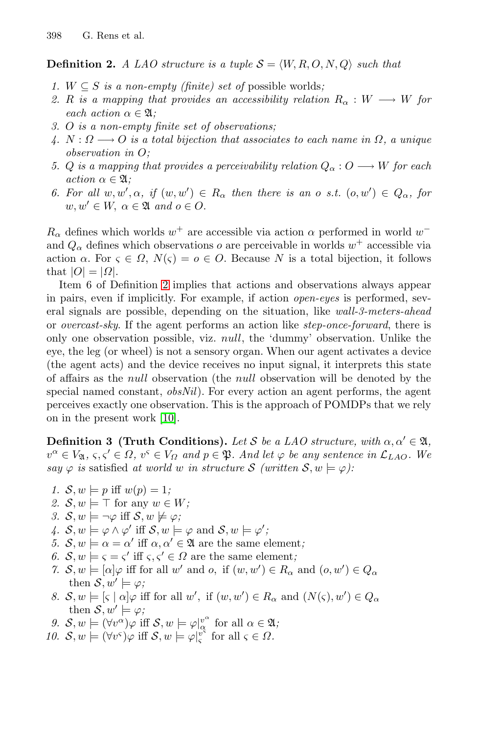<span id="page-3-0"></span>**Definition 2.** *A LAO structure is a tuple*  $S = \langle W, R, O, N, Q \rangle$  *such that* 

- *1.*  $W \subseteq S$  *is a non-empty (finite) set of possible worlds;*
- 2. R is a mapping that provides an accessibility relation  $R_{\alpha}: W \longrightarrow W$  for *each action*  $\alpha \in \mathfrak{A}$ *;*
- *3.* O *is a non-empty finite set of observations;*
- *4.*  $N: \Omega \longrightarrow O$  *is a total bijection that associates to each name in*  $\Omega$ , *a unique observation in* O*;*
- *5.* Q is a mapping that provides a perceivability relation  $Q_{\alpha}: O \longrightarrow W$  for each  $action \alpha \in \mathfrak{A}$  $action \alpha \in \mathfrak{A}$ ;
- 6. For all  $w, w', \alpha$ , if  $(w, w') \in R_\alpha$  then there is an o *s.t.*  $(o, w') \in Q_\alpha$ , for  $w, w' \in W$ ,  $\alpha \in \mathfrak{A}$  and  $o \in O$ .

 $R_{\alpha}$  defines which worlds  $w^{+}$  are accessible via action  $\alpha$  performed in world  $w^{-}$ and  $Q_{\alpha}$  defines which observations *o* are perceivable in worlds  $w^{+}$  accessible via action  $\alpha$ . For  $\varsigma \in \Omega$ ,  $N(\varsigma) = o \in O$ . Because N is a total bijection, it follows that  $|O| = |\Omega|$ .

Item 6 of Definition 2 implies that actions and observations always appear in pairs, even if implicitly. For example, if action *open-eyes* is performed, several [sign](#page-9-4)als are possible, depending on the situation, like *wall-3-meters-ahead* or *overcast-sky*. If the agent performs an action like *step-once-forward*, there is only one observation possible, viz. null, the 'dummy' observation. Unlike the eye, the leg (or wheel) is not a sensory organ. When our agent activates a device (the agent acts) and the device receives no input signal, it interprets this state of affairs as the null observation (the null observation will be denoted by the special named constant, *obsNil*). For every action an agent performs, the agent perceives exactly one observation. This is the approach of POMDPs that we rely on in the present work [10].

**Definition 3 (Truth Conditions).** *Let*  $S$  *be a LAO structure, with*  $\alpha, \alpha' \in \mathfrak{A}$ *,*  $v^{\alpha} \in V_{\mathfrak{A}}, \varsigma, \varsigma' \in \Omega, v^{\varsigma} \in V_{\Omega}$  and  $p \in \mathfrak{P}$ . And let  $\varphi$  be any sentence in  $\mathcal{L}_{LAO}$ . We *say*  $\varphi$  *is* satisfied *at world* w *in structure* S *(written*  $S, w \models \varphi$ ):

- 1.  $S, w \models p$  iff  $w(p)=1$ ;
- 2.  $S, w \models \top$  for any  $w \in W$ ;
- *3.*  $S, w \models \neg \varphi$  iff  $S, w \not\models \varphi$ ;
- 4.  $S, w \models \varphi \land \varphi' \text{ iff } S, w \models \varphi \text{ and } S, w \models \varphi'$
- 5.  $S, w \models \alpha = \alpha'$  iff  $\alpha, \alpha' \in \mathfrak{A}$  are the same element;
- 6.  $S, w \models \varsigma = \varsigma'$  iff  $\varsigma, \varsigma' \in \Omega$  are the same element;
- *7.*  $S, w \models [\alpha] \varphi$  iff for all w' and o, if  $(w, w') \in R_\alpha$  and  $(o, w') \in Q_\alpha$ then  $\mathcal{S}, w' \models \varphi$ *;*
- *8.*  $S, w \models [\varsigma \mid \alpha] \varphi$  iff for all w', if  $(w, w') \in R_\alpha$  and  $(N(\varsigma), w') \in Q_\alpha$ then  $\mathcal{S}, w' \models \varphi$ *;*
- *9.*  $S, w \models (\forall v^{\alpha})\varphi$  iff  $S, w \models \varphi|_{\alpha}^{v^{\alpha}}$  for all  $\alpha \in \mathfrak{A}$ ;
- *10.*  $S, w \models (\forall v^{\varsigma}) \varphi$  iff  $S, w \models \varphi \vert_{\varsigma}^{v^{\varsigma}}$  for all  $\varsigma \in \Omega$ .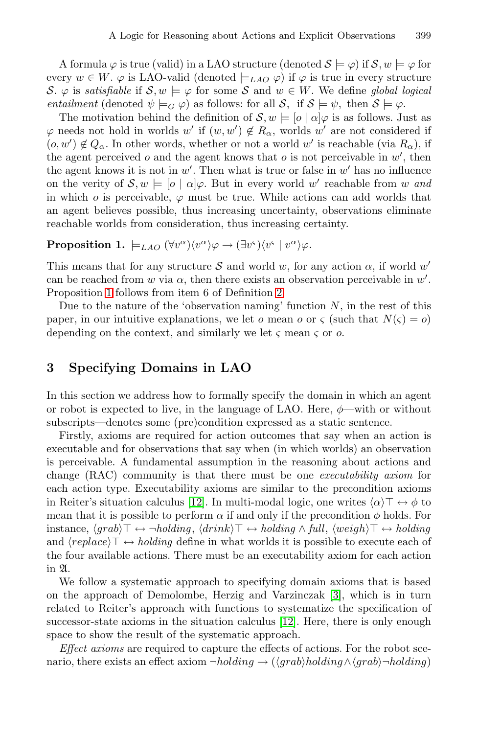A formula  $\varphi$  is true (valid) in a LAO structure (denoted  $\mathcal{S} \models \varphi$ ) if  $\mathcal{S}, w \models \varphi$  for every  $w \in W$ .  $\varphi$  is LAO-valid (denoted  $\models$ <sub>LAO</sub>  $\varphi$ ) if  $\varphi$  is true in every structure S.  $\varphi$  is *satisfiable* if  $S, w \models \varphi$  for some S and  $w \in W$ . We define *global logical entailment* (denoted  $\psi \models_G \varphi$ ) as follows: for all S, if  $S \models \psi$ , then  $S \models \varphi$ .

<span id="page-4-1"></span>The motivation behind the definition of  $S, w \models [o \mid \alpha] \varphi$  is as follows. Just as  $\varphi$  needs not hold in worlds  $w'$  if  $(w, w') \notin R_\alpha$ , worlds  $w'$  are not considered if  $(o, w') \notin Q_\alpha$ . In other words, whether or not a world w' is reachable (via  $R_\alpha$ ), if the agent perceived  $o$  and the agent knows that  $o$  is not perceivable in  $w'$ , then the agent knows it is not in  $w'$ . Then what is true or false in  $w'$  has no influence on the verity of  $S, w \models [o \mid \alpha] \varphi$ . But in every world w' reachable from w and in which  $\sigma$  is perceivable,  $\varphi$  must be true. While actions can add worlds that an agent believes possible, thus increasing uncertainty, observations eliminate reachable worlds from consideration, thus increasing certainty.

**Proposition 1.**  $\models$ *LAO*  $(\forall v^{\alpha})(v^{\alpha})\varphi \rightarrow (\exists v^{\varsigma})(v^{\varsigma} \mid v^{\alpha})\varphi$ *.* 

<span id="page-4-0"></span>This means that for any structure S and world w, for any action  $\alpha$ , if world w' can be reached from w via  $\alpha$ , then there exists an observation perceivable in w'. Proposition 1 follows from item 6 of Definition 2.

Due to the nature of the 'observation naming' function  $N$ , in the rest of this paper, in our intuitive explanations, we let o mean o or  $\varsigma$  (such that  $N(\varsigma) = o$ ) depending on the context, and similarly we let  $\varsigma$  mean  $\varsigma$  or  $o$ .

#### **3 Specifying Domains in LAO**

In this sec[tion](#page-9-5) we address how to formally specify the domain in which an agent or robot is expected to live, in the language of LAO. Here,  $\phi$ —with or without subscripts—denotes some (pre)condition expressed as a static sentence.

Firstly, axioms are required for action outcomes that say when an action is executable and for observations that say when (in which worlds) an observation is perceivable. A fundamental assumption in the reasoning about actions and change (RAC) community is that there must be one *executability axiom* for each action type. Executability axioms [a](#page-9-6)re similar to the precondition axioms in Reiter's situation calculus [12]. In multi-modal logic, one writes  $\langle \alpha \rangle \top \leftrightarrow \phi$  to mean that it is possible to pe[rfor](#page-9-5)m  $\alpha$  if and only if the precondition  $\phi$  holds. For  $\text{instance}, \langle \text{grad} \rangle \top \leftrightarrow \neg \text{holding}, \langle \text{drink} \rangle \top \leftrightarrow \text{holding} \land \text{full}, \langle \text{weight} \rangle \top \leftrightarrow \text{holding}$ and  $\langle replace \rangle \top \leftrightarrow holding$  define in what worlds it is possible to execute each of the four available actions. There must be an executability axiom for each action in A.

We follow a systematic approach to specifying domain axioms that is based on the approach of Demolombe, Herzig and Varzinczak [3], which is in turn related to Reiter's approach with functions to systematize the specification of successor-state axioms in the situation calculus [12]. Here, there is only enough space to show the result of the systematic approach.

*Effect axioms* are required to capture the effects of actions. For the robot scenario, there exists an effect axiom  $\neg holding \rightarrow (\langle grab \rangle holding \land \langle grab \rangle \neg holding)$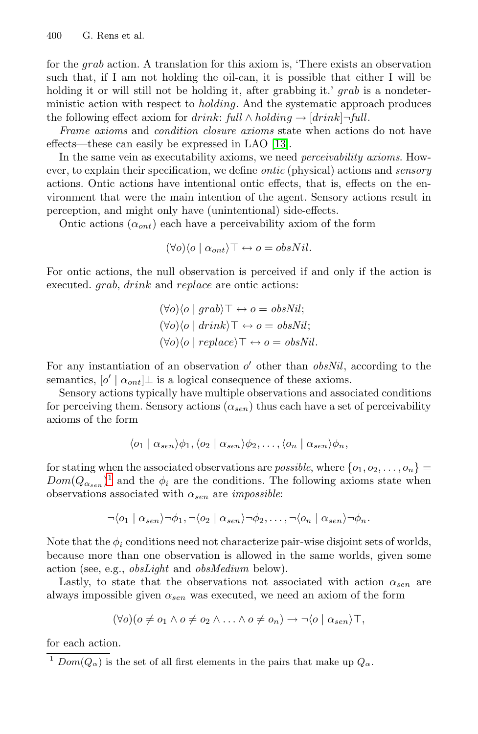for the grab action. A translation for this axiom is, 'There exists an observation such that, if I am not holding the oil-can, it is possible that either I will be holding it or will still not be holding it, after grabbing it.' *grab* is a nondeterministic action with respect to holding. And the systematic approach produces the following effect axiom for drink:  $full \wedge holding \rightarrow [drink] \neg full$ .

*Frame axioms* and *condition closure axioms* state when actions do not have effects—these can easily be expressed in LAO [13].

In the same vein as executability axioms, we need *perceivability axioms*. However, to explain their specification, we define *ontic* (physical) actions and *sensory* actions. Ontic actions have intentional ontic effects, that is, effects on the environment that were the main intention of the agent. Sensory actions result in perception, and might only have (unintentional) side-effects.

Ontic actions  $(\alpha_{\text{ont}})$  each have a perceivability axiom of the form

$$
(\forall o)(o \mid \alpha_{ont}) \top \leftrightarrow o = obsNil.
$$

For ontic actions, the null observation is perceived if and only if the action is executed. grab, drink and replace are ontic actions:

$$
(\forall o)(o \mid grab) \top \leftrightarrow o = obsNil;
$$
  

$$
(\forall o)(o \mid drink) \top \leftrightarrow o = obsNil;
$$
  

$$
(\forall o)(o \mid replace) \top \leftrightarrow o = obsNil.
$$

For any instantiation of an observation  $o'$  other than  $\partial sNil$ , according to the semantics,  $[o' | \alpha_{\text{ont}}] \perp$  is a logical consequence of these axioms.

Sensory actions typically have multiple observations and associated conditions for perceiving them. Sensory actions  $(\alpha_{sen})$  thus each have a set of perceivability axioms of the form

$$
\langle o_1 | \alpha_{sen} \rangle \phi_1, \langle o_2 | \alpha_{sen} \rangle \phi_2, \ldots, \langle o_n | \alpha_{sen} \rangle \phi_n,
$$

for stating when the associated observations are *possible*, where  $\{o_1, o_2, \ldots, o_n\}$  $Dom(Q_{\alpha_{sen}})^1$  and the  $\phi_i$  are the conditions. The following axioms state when observations associated with  $\alpha_{sen}$  are *impossible*:

$$
\neg \langle o_1 \mid \alpha_{sen} \rangle \neg \phi_1, \neg \langle o_2 \mid \alpha_{sen} \rangle \neg \phi_2, \dots, \neg \langle o_n \mid \alpha_{sen} \rangle \neg \phi_n.
$$

Note that the  $\phi_i$  conditions need not characterize pair-wise disjoint sets of worlds, because more than one observation is allowed in the same worlds, given some action (see, e.g., *obsLight* and *obsMedium* below).

Lastly, to state that the observations not associated with action  $\alpha_{sen}$  are always impossible given  $\alpha_{sen}$  was executed, we need an axiom of the form

$$
(\forall o)(o \neq o_1 \land o \neq o_2 \land \dots \land o \neq o_n) \rightarrow \neg \langle o \mid \alpha_{sen} \rangle \top,
$$

for each action.

 $\frac{1}{1}$  Dom( $Q_{\alpha}$ ) is the set of all first elements in the pairs that make up  $Q_{\alpha}$ .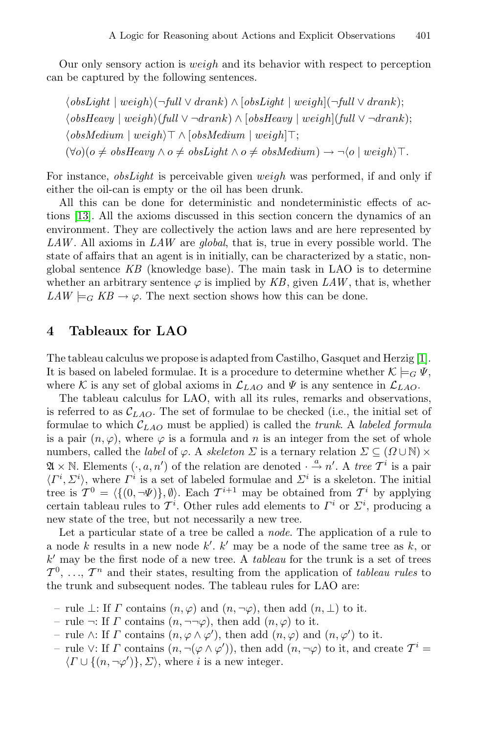Our only sensory action is weigh and its behavior with respect to perception can be captured by the following sentences.

$$
\langle \text{obsLight} \mid \text{weight} \rangle \neg \text{full} \lor \text{drank} \land \text{[obsLight} \mid \text{weight}] \neg \text{full} \lor \text{drank};
$$
\n
$$
\langle \text{obsHeavy} \mid \text{weight} \rangle \neg \text{drank} \land \text{[obsHeavy} \mid \text{weight}] \neg \text{drank};
$$
\n
$$
\langle \text{obs Medium} \mid \text{weight} \rangle \top \land \text{[obs Medium} \mid \text{weight}] \top;
$$
\n
$$
(\forall o)(o \neq \text{obsHeavy} \land o \neq \text{obsLight} \land o \neq \text{obs Medium}) \rightarrow \neg \langle o \mid \text{weight} \rangle \top.
$$

For instance, *obsLight* is perceivable given weigh was performed, if and only if either the oil-can is empty or the oil has been drunk.

<span id="page-6-0"></span>All this can be done for deterministic and nondeterministic effects of actions [13]. All the axioms discussed in this section concern the dynamics of an environment. They are collectively the action laws and are here represented by *LAW* . All axioms in *LAW* are *global*, that is, true in every possible world. The state of affairs that an agent is in initially, can be charact[eriz](#page-9-2)ed by a static, nonglobal sentence *KB* (knowledge base). The main task in LAO is to determine whether an arbitrary sentence  $\varphi$  is implied by *KB*, given *LAW*, that is, whether  $LAW \models_G KB \rightarrow \varphi$ . The next section shows how this can be done.

#### **4 Tableaux for LAO**

The tableau calculus we propose is adapted from Castilho, Gasquet and Herzig [1]. It is based on labeled formulae. It is a procedure to determine whether  $\mathcal{K} \models_G \Psi$ , where K is any set of global axioms in  $\mathcal{L}_{LAO}$  and  $\Psi$  is any sentence in  $\mathcal{L}_{LAO}$ .

The tableau calculus for LAO, with all its rules, remarks and observations, is referred to as  $\mathcal{C}_{LAO}$ . The set of formulae to be checked (i.e., the initial set of formulae to which CLAO must be applied) is called the *trunk*. A *labeled formula* is a pair  $(n, \varphi)$ , where  $\varphi$  is a formula and n is an integer from the set of whole numbers, called the *label* of  $\varphi$ . A *skeleton*  $\Sigma$  is a ternary relation  $\Sigma \subseteq (\Omega \cup \mathbb{N}) \times$  $\mathfrak{A} \times \mathbb{N}$ . Elements  $(\cdot, a, n')$  of the relation are denoted  $\cdot \stackrel{a}{\rightarrow} n'$ . A *tree*  $\mathcal{T}^i$  is a pair  $\langle \Gamma^i, \Sigma^i \rangle$ , where  $\Gamma^i$  is a set of labeled formulae and  $\Sigma^i$  is a skeleton. The initial tree is  $\mathcal{T}^0 = \langle \{ (0, \neg \Psi) \}, \emptyset \rangle$ . Each  $\mathcal{T}^{i+1}$  may be obtained from  $\mathcal{T}^i$  by applying certain tableau rules to  $\mathcal{T}^i$ . Other rules add elements to  $\Gamma^i$  or  $\Sigma^i$ , producing a new state of the tree, but not necessarily a new tree.

Let a particular state of a tree be called a *node*. The application of a rule to a node k results in a new node  $k'. k'$  may be a node of the same tree as  $k$ , or  $k'$  may be the first node of a new tree. A *tableau* for the trunk is a set of trees  $\mathcal{T}^0, \ldots, \mathcal{T}^n$  and their states, resulting from the application of *tableau rules* to the trunk and subsequent nodes. The tableau rules for LAO are:

- rule ⊥: If Γ contains  $(n, \varphi)$  and  $(n, \neg \varphi)$ , then add  $(n, \bot)$  to it.
- rule  $\neg$ : If  $\Gamma$  contains  $(n, \neg \neg \varphi)$ , then add  $(n, \varphi)$  to it.
- rule ∧: If Γ contains  $(n, \varphi \land \varphi')$ , then add  $(n, \varphi)$  and  $(n, \varphi')$  to it.
- rule ∨: If Γ contains  $(n, \neg(\varphi \land \varphi'))$ , then add  $(n, \neg\varphi)$  to it, and create  $\mathcal{T}^i$  =  $\langle \Gamma \cup \{(n, \neg \varphi')\}, \Sigma \rangle$ , where *i* is a new integer.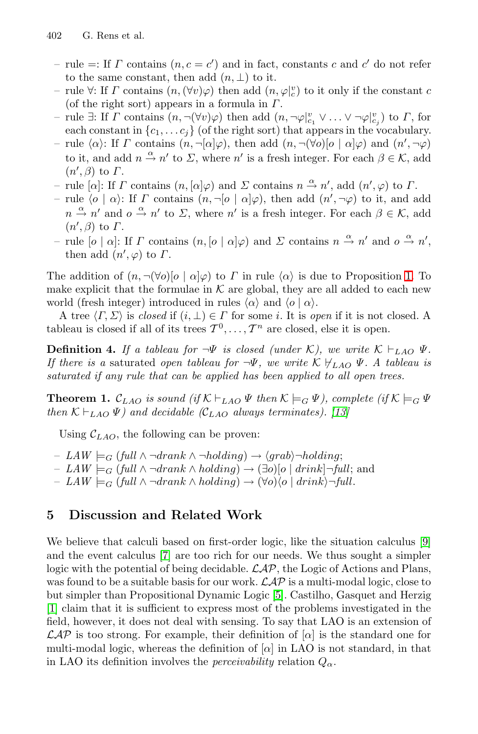- rule =: If  $\Gamma$  contains  $(n, c = c')$  and in fact, constants c and c' do not refer to the same constant, then add  $(n, \perp)$  to it.
- rule ∀: If  $\Gamma$  contains  $(n, (\forall v) \varphi)$  then add  $(n, \varphi |_{c}^{v})$  to it only if the constant  $c$ (of the right sort) appears in a formula in  $\Gamma$ .
- rule ∃: If Γ contains  $(n, \neg(\forall v)\varphi)$  then add  $(n, \neg\varphi|_{c_1}^v \lor ... \lor \neg\varphi|_{c_j}^v)$  to Γ, for each constant in  $\{c_1,\ldots c_j\}$  (of the right sort) that appears in the vocabulary.
- rule  $\langle \alpha \rangle$ : If  $\Gamma$  contains  $(n, \neg[\alpha]\varphi)$ , then add  $(n, \neg(\forall o)[o \mid \alpha]\varphi)$  and  $(n', \neg\varphi)$ to it, and add  $n \stackrel{\alpha}{\rightarrow} n'$  to  $\Sigma$ , where  $n'$  is a fresh integer. For each  $\beta \in \mathcal{K}$ , add  $(n', \beta)$  to  $\Gamma$ .
- rule  $[\alpha]$ : If  $\Gamma$  contains  $(n, [\alpha]\varphi)$  and  $\Sigma$  contains  $n \stackrel{\alpha}{\to} n'$ , add  $(n', \varphi)$  to  $\Gamma$ .
- rule  $\langle o | \alpha \rangle$ : If  $\Gamma$  contains  $(n, \neg o | \alpha | \varphi)$ , then add  $(n', \neg \varphi)$  to it, and add  $n \stackrel{\alpha}{\to} n'$  and  $o \stackrel{\alpha}{\to} n'$  to  $\Sigma$ , where  $n'$  is a fresh integer. For each  $\beta \in \mathcal{K}$ , add  $(n',\beta)$  to  $\Gamma$ .
- rule  $[o \mid \alpha]$ : If  $\Gamma$  contains  $(n, [o \mid \alpha]\varphi)$  and  $\Sigma$  contains  $n \stackrel{\alpha}{\to} n'$  and  $o \stackrel{\alpha}{\to} n'$ , then add  $(n', \varphi)$  to  $\Gamma$ .

The addition of  $(n, \neg(\forall o)[o \mid \alpha] \varphi)$  to  $\Gamma$  in rule  $\langle \alpha \rangle$  is due to Proposition 1. To make explicit that the formulae in  $K$  are global, they are all added to each new world (fresh integer) introduced in rules  $\langle \alpha \rangle$  and  $\langle \alpha | \alpha \rangle$ .

A t[r](#page-9-7)ee  $\langle \Gamma, \Sigma \rangle$  is *closed* if  $(i, \perp) \in \Gamma$  for [so](#page-9-7)me *i*. It is *open* if it is not closed. A tableau is closed if all of its trees  $\mathcal{T}^0, \ldots, \mathcal{T}^n$  are closed, else it is open.

**Definition 4.** *If a tableau for*  $\neg \Psi$  *is closed (under* K), we write  $K \vdash_{LAO} \Psi$ . *If there is a* saturated *open tableau for*  $\neg \Psi$ *, we write*  $\mathcal{K} \not\vdash_{LAO} \Psi$ *. A tableau is saturated if any rule that can be applied has been applied to all open trees.*

<span id="page-7-0"></span>**Theorem 1.**  $\mathcal{C}_{LAO}$  *is sound (if*  $\mathcal{K} \vdash_{LAO} \Psi$  *then*  $\mathcal{K} \models_G \Psi$ *), complete (if*  $\mathcal{K} \models_G \Psi$ *then*  $K \vdash_{LAO} \Psi$ *)* and decidable ( $\mathcal{C}_{LAO}$  always terminates). [13]

Using  $\mathcal{C}_{LAO}$ , the following can be proven:

- $-$  *[LA](#page-9-8)W*  $\models_G (full \land \neg dark \land \neg holding) \rightarrow \langle grab \rangle \neg holding;$
- *LAW* |=<sup>G</sup> (*full* ∧ ¬drank ∧ holding) → (∃o)[o | drink]¬*full*; and
- $-IAW \models_G (full \land \neg dark \land holding) \rightarrow (\forall o)(o \mid drink \rangle \neg full.$

## **5 Discussion and Related Work**

We believe that calculi based on first-order logic, like the situation calculus [9] and the event calculus [7] are too rich for our needs. We thus sought a simpler logic with the potential of being decidable.  $\mathcal{LAP}$ , the Logic of Actions and Plans, was found to be a suitable basis for our work.  $\mathcal{LAP}$  is a multi-modal logic, close to but simpler than Propositional Dynamic Logic [5]. Castilho, Gasquet and Herzig [1] claim that it is sufficient to express most of the problems investigated in the field, however, it does not deal with sensing. To say that LAO is an extension of  $\mathcal{LAP}$  is too strong. For example, their definition of  $[\alpha]$  is the standard one for multi-modal logic, whereas the definition of  $[\alpha]$  in LAO is not standard, in that in LAO its definition involves the *perceivability* relation  $Q_{\alpha}$ .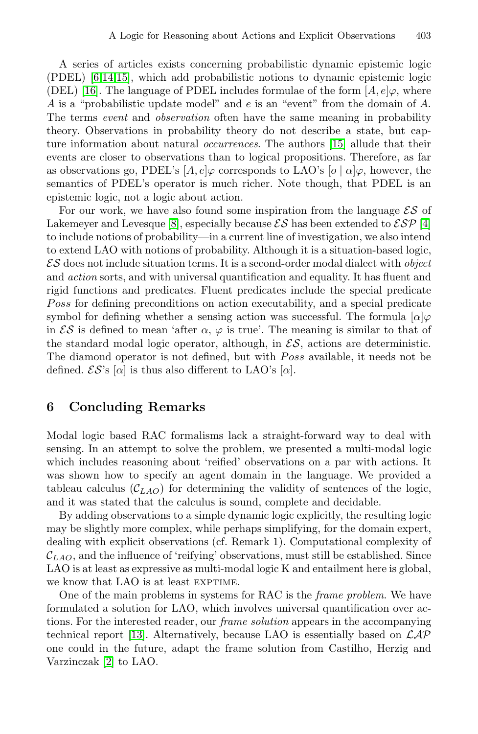A series of articles exists concerning probabilistic dynamic epistemic logic (PDEL) [6,14,15], which add probabilistic notions to dynamic epistemic logic (DEL) [16]. The language of PDEL includes formulae of the form  $[A, e]\varphi$ , where A is a "probabilistic update model" and  $e$  is an "event" from the domain of A. The t[erm](#page-9-9)s *event* and *observation* often have the same m[ea](#page-9-10)ning in probability theory. Observations in probability theory do not describe a state, but capture information about natural *occurrences*. The authors [15] allude that their events are closer to observations than to logical propositions. Therefore, as far as observations go, PDEL's  $[A, e] \varphi$  corresponds to LAO's  $[o \mid \alpha] \varphi$ , however, the semantics of PDEL's operator is much richer. Note though, that PDEL is an epistemic logic, not a logic about action.

<span id="page-8-0"></span>For our work, we have also found some inspiration from the language  $\mathcal{ES}$  of Lakemeyer and Levesque [8], especially because  $\mathcal{ES}$  has been extended to  $\mathcal{ESP}$  [4] to include notions of probability—in a current line of investigation, we also intend to extend LAO with notions of probability. Although it is a situation-based logic, ES does not include situation terms. It is a second-order modal dialect with *object* and *action* sorts, and with universal quantification and equality. It has fluent and rigid functions and predicates. Fluent predicates include the special predicate Poss for defining preconditions on action executability, and a special predicate symbol for defining whether a sensing action was successful. The formula  $\alpha | \varphi$ in  $\mathcal{ES}$  is defined to mean 'after  $\alpha$ ,  $\varphi$  is true'. The meaning is similar to that of the standard modal logic operator, although, in  $\mathcal{ES}$ , actions are deterministic. The diamond operator is not defined, but with *Poss* available, it needs not be defined.  $\mathcal{E} \mathcal{S}$ 's  $[\alpha]$  is thus also different to LAO's  $[\alpha]$ .

#### **6 Concluding Remarks**

Modal logic based RAC formalisms lack a straight-forward way to deal with sensing. In an attempt to solve the problem, we presented a multi-modal logic which includes reasoning about 'reified' observations on a par with actions. It was shown how to specify an agent domain in the language. We provided a tableau calculus  $(C_{LAO})$  for determining the validity of sentences of the logic, and it was stated that the calculus is sound, complete and decidable.

By adding observations to a simple dynamic logic explicitly, the resulting logic [m](#page-9-7)ay be slightly more complex, while perhaps simplifying, for the domain expert, dealing with explicit observations (cf. Remark 1). Computational complexity of  $\mathcal{C}_{LAO}$ , and the influence of 'reifying' observations, must still be established. Since LAO is at least as expressive as multi-modal logic K and entailment here is global, we know that LAO is at least EXPTIME.

One of the main problems in systems for RAC is the *frame problem*. We have formulated a solution for LAO, which involves universal quantification over actions. For the interested reader, our *frame solution* appears in the accompanying technical report [13]. Alternatively, because LAO is essentially based on  $\mathcal{LAP}$ one could in the future, adapt the frame solution from Castilho, Herzig and Varzinczak [2] to LAO.